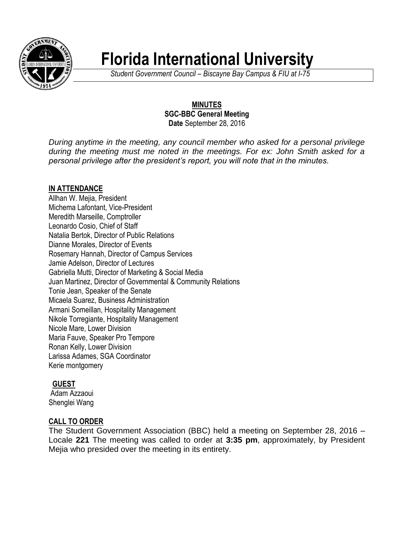

# **Florida International University**

*Student Government Council – Biscayne Bay Campus & FIU at I-75*

## **MINUTES SGC-BBC General Meeting Date** September 28, 2016

*During anytime in the meeting, any council member who asked for a personal privilege during the meeting must me noted in the meetings. For ex: John Smith asked for a personal privilege after the president's report, you will note that in the minutes.*

## **IN ATTENDANCE**

Allhan W. Mejia, President Michema Lafontant, Vice-President Meredith Marseille, Comptroller Leonardo Cosio, Chief of Staff Natalia Bertok, Director of Public Relations Dianne Morales, Director of Events Rosemary Hannah, Director of Campus Services Jamie Adelson, Director of Lectures Gabriella Mutti, Director of Marketing & Social Media Juan Martinez, Director of Governmental & Community Relations Tonie Jean, Speaker of the Senate Micaela Suarez, Business Administration Armani Someillan, Hospitality Management Nikole Torregiante, Hospitality Management Nicole Mare, Lower Division Maria Fauve, Speaker Pro Tempore Ronan Kelly, Lower Division Larissa Adames, SGA Coordinator Kerie montgomery

# **GUEST**

Adam Azzaoui Shenglei Wang

# **CALL TO ORDER**

The Student Government Association (BBC) held a meeting on September 28, 2016 – Locale **221** The meeting was called to order at **3:35 pm**, approximately, by President Mejia who presided over the meeting in its entirety.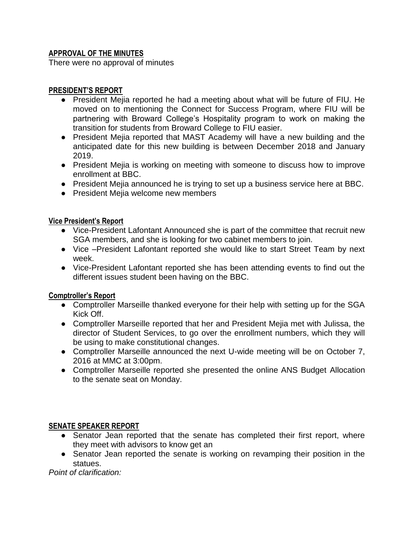## **APPROVAL OF THE MINUTES**

There were no approval of minutes

## **PRESIDENT'S REPORT**

- President Mejia reported he had a meeting about what will be future of FIU. He moved on to mentioning the Connect for Success Program, where FIU will be partnering with Broward College's Hospitality program to work on making the transition for students from Broward College to FIU easier.
- President Mejia reported that MAST Academy will have a new building and the anticipated date for this new building is between December 2018 and January 2019.
- President Mejia is working on meeting with someone to discuss how to improve enrollment at BBC.
- President Mejia announced he is trying to set up a business service here at BBC.
- President Mejia welcome new members

#### **Vice President's Report**

- Vice-President Lafontant Announced she is part of the committee that recruit new SGA members, and she is looking for two cabinet members to join.
- Vice –President Lafontant reported she would like to start Street Team by next week.
- Vice-President Lafontant reported she has been attending events to find out the different issues student been having on the BBC.

#### **Comptroller's Report**

- Comptroller Marseille thanked everyone for their help with setting up for the SGA Kick Off.
- Comptroller Marseille reported that her and President Mejia met with Julissa, the director of Student Services, to go over the enrollment numbers, which they will be using to make constitutional changes.
- Comptroller Marseille announced the next U-wide meeting will be on October 7, 2016 at MMC at 3:00pm.
- Comptroller Marseille reported she presented the online ANS Budget Allocation to the senate seat on Monday.

#### **SENATE SPEAKER REPORT**

- Senator Jean reported that the senate has completed their first report, where they meet with advisors to know get an
- Senator Jean reported the senate is working on revamping their position in the statues.

*Point of clarification:*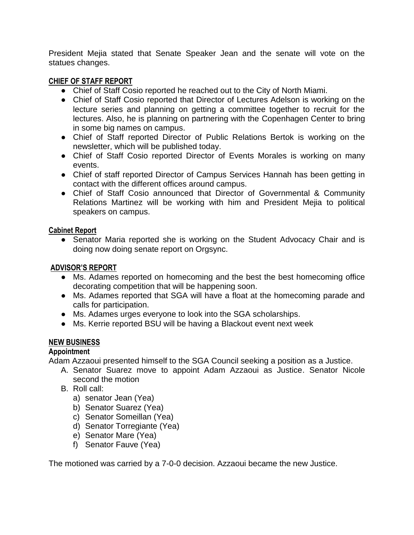President Mejia stated that Senate Speaker Jean and the senate will vote on the statues changes.

#### **CHIEF OF STAFF REPORT**

- Chief of Staff Cosio reported he reached out to the City of North Miami.
- Chief of Staff Cosio reported that Director of Lectures Adelson is working on the lecture series and planning on getting a committee together to recruit for the lectures. Also, he is planning on partnering with the Copenhagen Center to bring in some big names on campus.
- Chief of Staff reported Director of Public Relations Bertok is working on the newsletter, which will be published today.
- Chief of Staff Cosio reported Director of Events Morales is working on many events.
- Chief of staff reported Director of Campus Services Hannah has been getting in contact with the different offices around campus.
- Chief of Staff Cosio announced that Director of Governmental & Community Relations Martinez will be working with him and President Mejia to political speakers on campus.

#### **Cabinet Report**

• Senator Maria reported she is working on the Student Advocacy Chair and is doing now doing senate report on Orgsync.

#### **ADVISOR'S REPORT**

- Ms. Adames reported on homecoming and the best the best homecoming office decorating competition that will be happening soon.
- Ms. Adames reported that SGA will have a float at the homecoming parade and calls for participation.
- Ms. Adames urges everyone to look into the SGA scholarships.
- Ms. Kerrie reported BSU will be having a Blackout event next week

#### **NEW BUSINESS**

#### **Appointment**

Adam Azzaoui presented himself to the SGA Council seeking a position as a Justice.

- A. Senator Suarez move to appoint Adam Azzaoui as Justice. Senator Nicole second the motion
- B. Roll call:
	- a) senator Jean (Yea)
	- b) Senator Suarez (Yea)
	- c) Senator Someillan (Yea)
	- d) Senator Torregiante (Yea)
	- e) Senator Mare (Yea)
	- f) Senator Fauve (Yea)

The motioned was carried by a 7-0-0 decision. Azzaoui became the new Justice.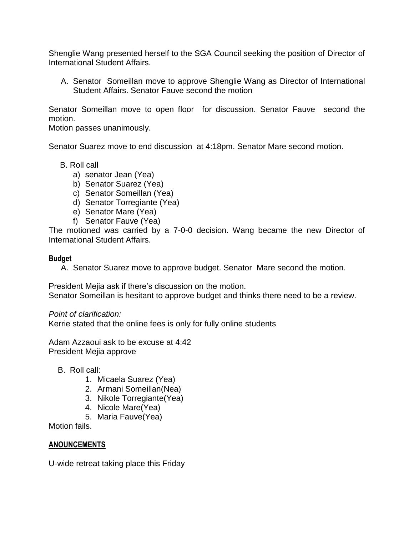Shenglie Wang presented herself to the SGA Council seeking the position of Director of International Student Affairs.

A. Senator Someillan move to approve Shenglie Wang as Director of International Student Affairs. Senator Fauve second the motion

Senator Someillan move to open floor for discussion. Senator Fauve second the motion.

Motion passes unanimously.

Senator Suarez move to end discussion at 4:18pm. Senator Mare second motion.

- B. Roll call
	- a) senator Jean (Yea)
	- b) Senator Suarez (Yea)
	- c) Senator Someillan (Yea)
	- d) Senator Torregiante (Yea)
	- e) Senator Mare (Yea)
	- f) Senator Fauve (Yea)

The motioned was carried by a 7-0-0 decision. Wang became the new Director of International Student Affairs.

#### **Budget**

A. Senator Suarez move to approve budget. Senator Mare second the motion.

President Mejia ask if there's discussion on the motion.

Senator Someillan is hesitant to approve budget and thinks there need to be a review.

*Point of clarification:*

Kerrie stated that the online fees is only for fully online students

Adam Azzaoui ask to be excuse at 4:42 President Mejia approve

- B. Roll call:
	- 1. Micaela Suarez (Yea)
	- 2. Armani Someillan(Nea)
	- 3. Nikole Torregiante(Yea)
	- 4. Nicole Mare(Yea)
	- 5. Maria Fauve(Yea)

Motion fails.

#### **ANOUNCEMENTS**

U-wide retreat taking place this Friday